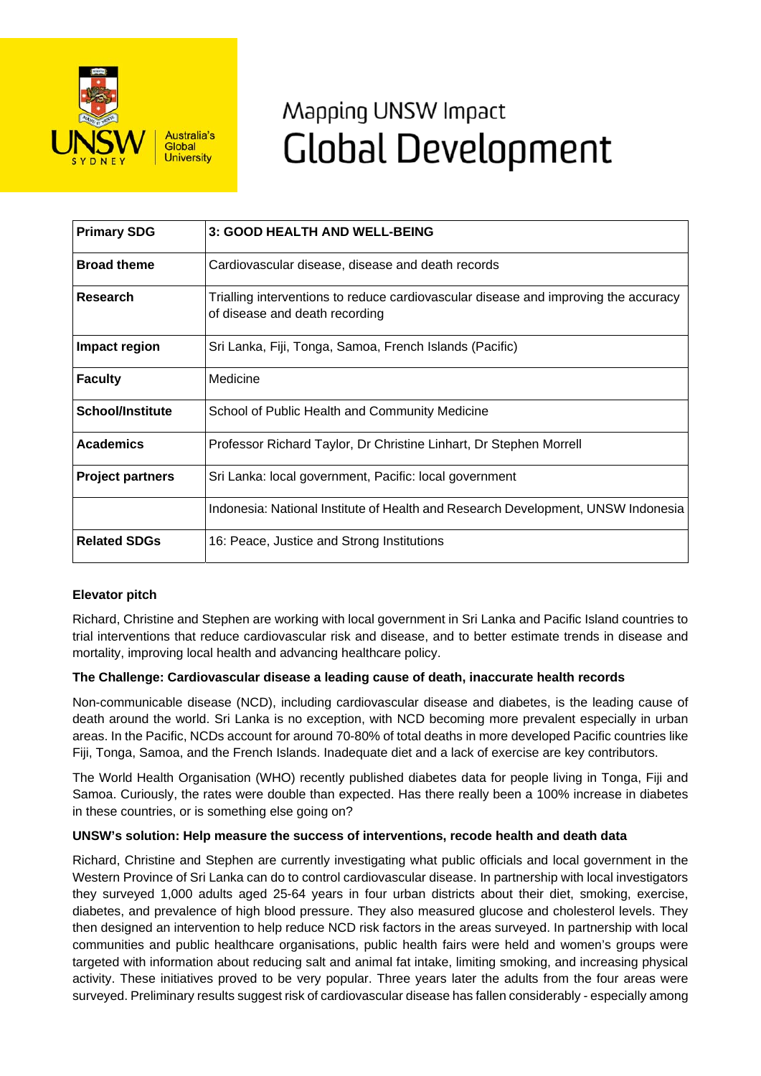

# Mapping UNSW Impact **Global Development**

| <b>Primary SDG</b>      | 3: GOOD HEALTH AND WELL-BEING                                                                                         |
|-------------------------|-----------------------------------------------------------------------------------------------------------------------|
| <b>Broad theme</b>      | Cardiovascular disease, disease and death records                                                                     |
| <b>Research</b>         | Trialling interventions to reduce cardiovascular disease and improving the accuracy<br>of disease and death recording |
| Impact region           | Sri Lanka, Fiji, Tonga, Samoa, French Islands (Pacific)                                                               |
| <b>Faculty</b>          | Medicine                                                                                                              |
| <b>School/Institute</b> | School of Public Health and Community Medicine                                                                        |
| <b>Academics</b>        | Professor Richard Taylor, Dr Christine Linhart, Dr Stephen Morrell                                                    |
| <b>Project partners</b> | Sri Lanka: local government, Pacific: local government                                                                |
|                         | Indonesia: National Institute of Health and Research Development, UNSW Indonesia                                      |
| <b>Related SDGs</b>     | 16: Peace, Justice and Strong Institutions                                                                            |

## **Elevator pitch**

Richard, Christine and Stephen are working with local government in Sri Lanka and Pacific Island countries to trial interventions that reduce cardiovascular risk and disease, and to better estimate trends in disease and mortality, improving local health and advancing healthcare policy.

### **The Challenge: Cardiovascular disease a leading cause of death, inaccurate health records**

Non-communicable disease (NCD), including cardiovascular disease and diabetes, is the leading cause of death around the world. Sri Lanka is no exception, with NCD becoming more prevalent especially in urban areas. In the Pacific, NCDs account for around 70-80% of total deaths in more developed Pacific countries like Fiji, Tonga, Samoa, and the French Islands. Inadequate diet and a lack of exercise are key contributors.

The World Health Organisation (WHO) recently published diabetes data for people living in Tonga, Fiji and Samoa. Curiously, the rates were double than expected. Has there really been a 100% increase in diabetes in these countries, or is something else going on?

### **UNSW's solution: Help measure the success of interventions, recode health and death data**

Richard, Christine and Stephen are currently investigating what public officials and local government in the Western Province of Sri Lanka can do to control cardiovascular disease. In partnership with local investigators they surveyed 1,000 adults aged 25-64 years in four urban districts about their diet, smoking, exercise, diabetes, and prevalence of high blood pressure. They also measured glucose and cholesterol levels. They then designed an intervention to help reduce NCD risk factors in the areas surveyed. In partnership with local communities and public healthcare organisations, public health fairs were held and women's groups were targeted with information about reducing salt and animal fat intake, limiting smoking, and increasing physical activity. These initiatives proved to be very popular. Three years later the adults from the four areas were surveyed. Preliminary results suggest risk of cardiovascular disease has fallen considerably - especially among